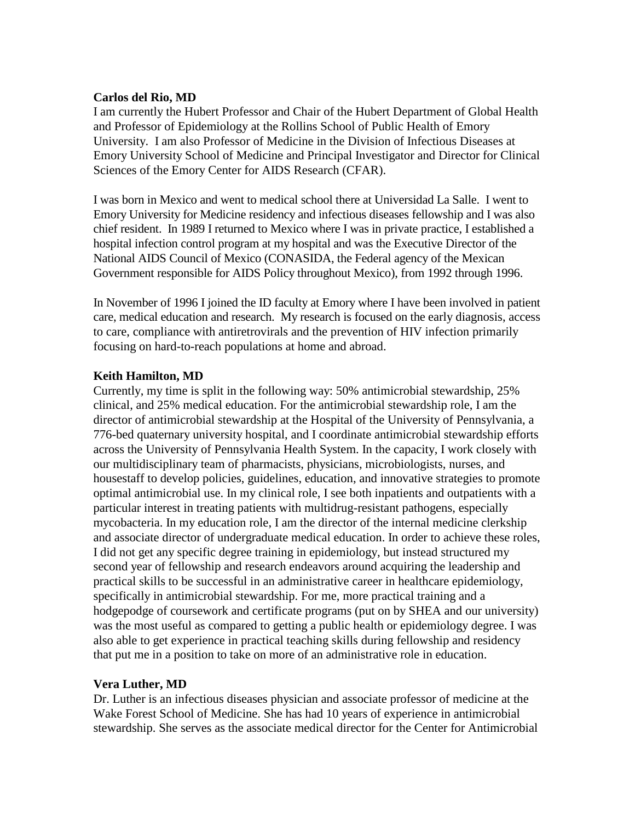#### **Carlos del Rio, MD**

I am currently the Hubert Professor and Chair of the Hubert Department of Global Health and Professor of Epidemiology at the Rollins School of Public Health of Emory University. I am also Professor of Medicine in the Division of Infectious Diseases at Emory University School of Medicine and Principal Investigator and Director for Clinical Sciences of the Emory Center for AIDS Research (CFAR).

I was born in Mexico and went to medical school there at Universidad La Salle. I went to Emory University for Medicine residency and infectious diseases fellowship and I was also chief resident. In 1989 I returned to Mexico where I was in private practice, I established a hospital infection control program at my hospital and was the Executive Director of the National AIDS Council of Mexico (CONASIDA, the Federal agency of the Mexican Government responsible for AIDS Policy throughout Mexico), from 1992 through 1996.

In November of 1996 I joined the ID faculty at Emory where I have been involved in patient care, medical education and research. My research is focused on the early diagnosis, access to care, compliance with antiretrovirals and the prevention of HIV infection primarily focusing on hard-to-reach populations at home and abroad.

### **Keith Hamilton, MD**

Currently, my time is split in the following way: 50% antimicrobial stewardship, 25% clinical, and 25% medical education. For the antimicrobial stewardship role, I am the director of antimicrobial stewardship at the Hospital of the University of Pennsylvania, a 776-bed quaternary university hospital, and I coordinate antimicrobial stewardship efforts across the University of Pennsylvania Health System. In the capacity, I work closely with our multidisciplinary team of pharmacists, physicians, microbiologists, nurses, and housestaff to develop policies, guidelines, education, and innovative strategies to promote optimal antimicrobial use. In my clinical role, I see both inpatients and outpatients with a particular interest in treating patients with multidrug-resistant pathogens, especially mycobacteria. In my education role, I am the director of the internal medicine clerkship and associate director of undergraduate medical education. In order to achieve these roles, I did not get any specific degree training in epidemiology, but instead structured my second year of fellowship and research endeavors around acquiring the leadership and practical skills to be successful in an administrative career in healthcare epidemiology, specifically in antimicrobial stewardship. For me, more practical training and a hodgepodge of coursework and certificate programs (put on by SHEA and our university) was the most useful as compared to getting a public health or epidemiology degree. I was also able to get experience in practical teaching skills during fellowship and residency that put me in a position to take on more of an administrative role in education.

### **Vera Luther, MD**

Dr. Luther is an infectious diseases physician and associate professor of medicine at the Wake Forest School of Medicine. She has had 10 years of experience in antimicrobial stewardship. She serves as the associate medical director for the Center for Antimicrobial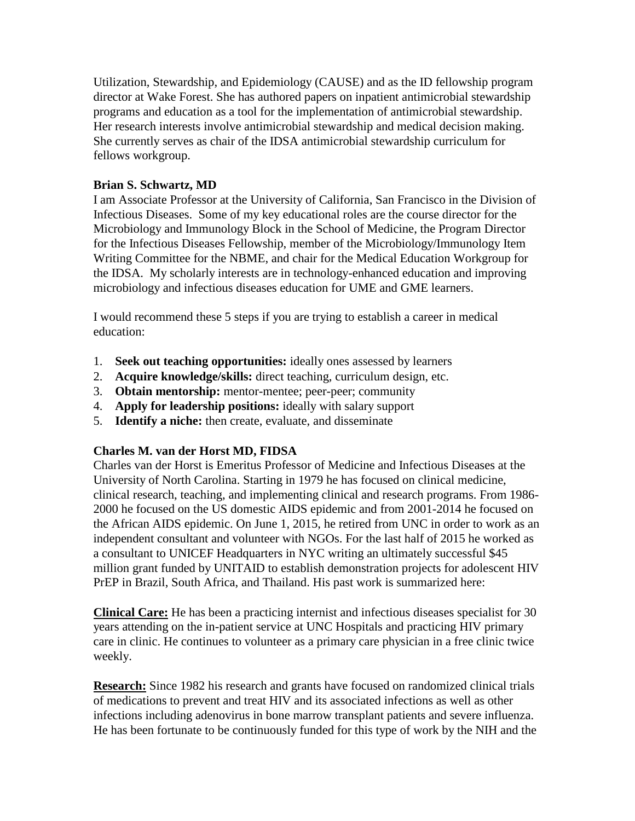Utilization, Stewardship, and Epidemiology (CAUSE) and as the ID fellowship program director at Wake Forest. She has authored papers on inpatient antimicrobial stewardship programs and education as a tool for the implementation of antimicrobial stewardship. Her research interests involve antimicrobial stewardship and medical decision making. She currently serves as chair of the IDSA antimicrobial stewardship curriculum for fellows workgroup.

## **Brian S. Schwartz, MD**

I am Associate Professor at the University of California, San Francisco in the Division of Infectious Diseases. Some of my key educational roles are the course director for the Microbiology and Immunology Block in the School of Medicine, the Program Director for the Infectious Diseases Fellowship, member of the Microbiology/Immunology Item Writing Committee for the NBME, and chair for the Medical Education Workgroup for the IDSA. My scholarly interests are in technology-enhanced education and improving microbiology and infectious diseases education for UME and GME learners.

I would recommend these 5 steps if you are trying to establish a career in medical education:

- 1. **Seek out teaching opportunities:** ideally ones assessed by learners
- 2. **Acquire knowledge/skills:** direct teaching, curriculum design, etc.
- 3. **Obtain mentorship:** mentor-mentee; peer-peer; community
- 4. **Apply for leadership positions:** ideally with salary support
- 5. **Identify a niche:** then create, evaluate, and disseminate

# **Charles M. van der Horst MD, FIDSA**

Charles van der Horst is Emeritus Professor of Medicine and Infectious Diseases at the University of North Carolina. Starting in 1979 he has focused on clinical medicine, clinical research, teaching, and implementing clinical and research programs. From 1986- 2000 he focused on the US domestic AIDS epidemic and from 2001-2014 he focused on the African AIDS epidemic. On June 1, 2015, he retired from UNC in order to work as an independent consultant and volunteer with NGOs. For the last half of 2015 he worked as a consultant to UNICEF Headquarters in NYC writing an ultimately successful \$45 million grant funded by UNITAID to establish demonstration projects for adolescent HIV PrEP in Brazil, South Africa, and Thailand. His past work is summarized here:

**Clinical Care:** He has been a practicing internist and infectious diseases specialist for 30 years attending on the in-patient service at UNC Hospitals and practicing HIV primary care in clinic. He continues to volunteer as a primary care physician in a free clinic twice weekly.

**Research:** Since 1982 his research and grants have focused on randomized clinical trials of medications to prevent and treat HIV and its associated infections as well as other infections including adenovirus in bone marrow transplant patients and severe influenza. He has been fortunate to be continuously funded for this type of work by the NIH and the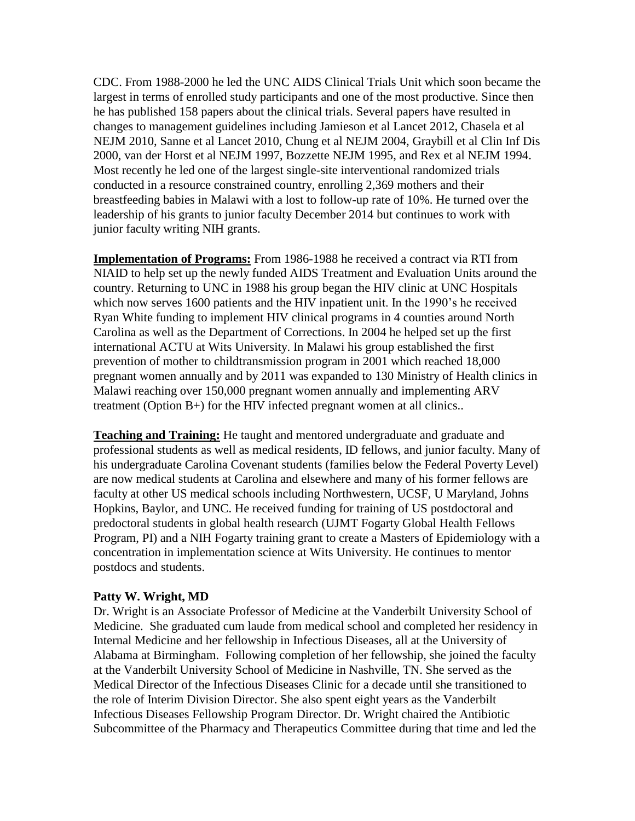CDC. From 1988-2000 he led the UNC AIDS Clinical Trials Unit which soon became the largest in terms of enrolled study participants and one of the most productive. Since then he has published 158 papers about the clinical trials. Several papers have resulted in changes to management guidelines including Jamieson et al Lancet 2012, Chasela et al NEJM 2010, Sanne et al Lancet 2010, Chung et al NEJM 2004, Graybill et al Clin Inf Dis 2000, van der Horst et al NEJM 1997, Bozzette NEJM 1995, and Rex et al NEJM 1994. Most recently he led one of the largest single-site interventional randomized trials conducted in a resource constrained country, enrolling 2,369 mothers and their breastfeeding babies in Malawi with a lost to follow-up rate of 10%. He turned over the leadership of his grants to junior faculty December 2014 but continues to work with junior faculty writing NIH grants.

**Implementation of Programs:** From 1986-1988 he received a contract via RTI from NIAID to help set up the newly funded AIDS Treatment and Evaluation Units around the country. Returning to UNC in 1988 his group began the HIV clinic at UNC Hospitals which now serves 1600 patients and the HIV inpatient unit. In the 1990's he received Ryan White funding to implement HIV clinical programs in 4 counties around North Carolina as well as the Department of Corrections. In 2004 he helped set up the first international ACTU at Wits University. In Malawi his group established the first prevention of mother to childtransmission program in 2001 which reached 18,000 pregnant women annually and by 2011 was expanded to 130 Ministry of Health clinics in Malawi reaching over 150,000 pregnant women annually and implementing ARV treatment (Option B+) for the HIV infected pregnant women at all clinics..

**Teaching and Training:** He taught and mentored undergraduate and graduate and professional students as well as medical residents, ID fellows, and junior faculty. Many of his undergraduate Carolina Covenant students (families below the Federal Poverty Level) are now medical students at Carolina and elsewhere and many of his former fellows are faculty at other US medical schools including Northwestern, UCSF, U Maryland, Johns Hopkins, Baylor, and UNC. He received funding for training of US postdoctoral and predoctoral students in global health research (UJMT Fogarty Global Health Fellows Program, PI) and a NIH Fogarty training grant to create a Masters of Epidemiology with a concentration in implementation science at Wits University. He continues to mentor postdocs and students.

#### **Patty W. Wright, MD**

Dr. Wright is an Associate Professor of Medicine at the Vanderbilt University School of Medicine. She graduated cum laude from medical school and completed her residency in Internal Medicine and her fellowship in Infectious Diseases, all at the University of Alabama at Birmingham. Following completion of her fellowship, she joined the faculty at the Vanderbilt University School of Medicine in Nashville, TN. She served as the Medical Director of the Infectious Diseases Clinic for a decade until she transitioned to the role of Interim Division Director. She also spent eight years as the Vanderbilt Infectious Diseases Fellowship Program Director. Dr. Wright chaired the Antibiotic Subcommittee of the Pharmacy and Therapeutics Committee during that time and led the